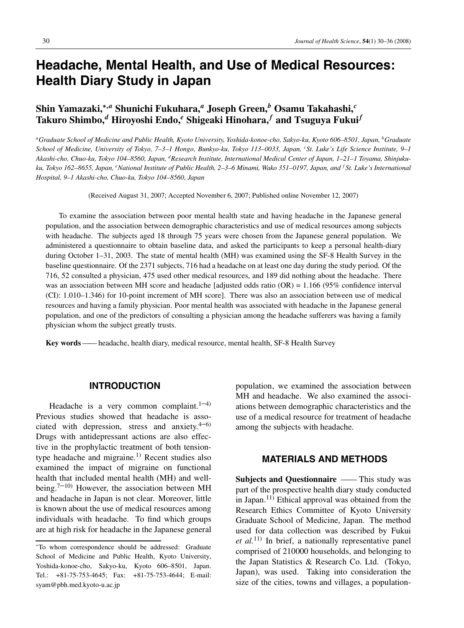# **Headache, Mental Health, and Use of Medical Resources: Health Diary Study in Japan**

# **Shin Yamazaki,**∗,*<sup>a</sup>* **Shunichi Fukuhara,***<sup>a</sup>* **Joseph Green,***<sup>b</sup>* **Osamu Takahashi,***<sup>c</sup>* **Takuro Shimbo,***<sup>d</sup>* **Hiroyoshi Endo,***<sup>e</sup>* **Shigeaki Hinohara,***<sup>f</sup>* **and Tsuguya Fukui***<sup>f</sup>*

*aGraduate School of Medicine and Public Health, Kyoto University, Yoshida-konoe-cho, Sakyo-ku, Kyoto 606–8501, Japan, bGraduate School of Medicine, University of Tokyo, 7–3–1 Hongo, Bunkyo-ku, Tokyo 113–0033, Japan, <sup>c</sup> St. Luke's Life Science Institute, 9–1 Akashi-cho, Chuo-ku, Tokyo 104–8560, Japan, dResearch Institute, International Medical Center of Japan, 1–21–1 Toyama, Shinjukuku, Tokyo 162–8655, Japan, <sup>e</sup> National Institute of Public Health, 2–3–6 Minami, Wako 351–0197, Japan, and <sup>f</sup> St. Luke's International Hospital, 9–1 Akashi-cho, Chuo-ku, Tokyo 104–8560, Japan*

(Received August 31, 2007; Accepted November 6, 2007; Published online November 12, 2007)

To examine the association between poor mental health state and having headache in the Japanese general population, and the association between demographic characteristics and use of medical resources among subjects with headache. The subjects aged 18 through 75 years were chosen from the Japanese general population. We administered a questionnaire to obtain baseline data, and asked the participants to keep a personal health-diary during October 1–31, 2003. The state of mental health (MH) was examined using the SF-8 Health Survey in the baseline questionnaire. Of the 2371 subjects, 716 had a headache on at least one day during the study period. Of the 716, 52 consulted a physician, 475 used other medical resources, and 189 did nothing about the headache. There was an association between MH score and headache [adjusted odds ratio  $(OR) = 1.166$  (95% confidence interval (CI): 1.010–1.346) for 10-point increment of MH score]. There was also an association between use of medical resources and having a family physician. Poor mental health was associated with headache in the Japanese general population, and one of the predictors of consulting a physician among the headache sufferers was having a family physician whom the subject greatly trusts.

**Key words**—— headache, health diary, medical resource, mental health, SF-8 Health Survey

### **INTRODUCTION**

Headache is a very common complaint. $1-4$ ) Previous studies showed that headache is associated with depression, stress and anxiety. $4-6$ ) Drugs with antidepressant actions are also effective in the prophylactic treatment of both tensiontype headache and migraine.<sup>1)</sup> Recent studies also examined the impact of migraine on functional health that included mental health (MH) and wellbeing.<sup>7–10)</sup> However, the association between MH and headache in Japan is not clear. Moreover, little is known about the use of medical resources among individuals with headache. To find which groups are at high risk for headache in the Japanese general

population, we examined the association between MH and headache. We also examined the associations between demographic characteristics and the use of a medical resource for treatment of headache among the subjects with headache.

# **MATERIALS AND METHODS**

**Subjects and Questionnaire** —— This study was part of the prospective health diary study conducted in Japan.<sup>11)</sup> Ethical approval was obtained from the Research Ethics Committee of Kyoto University Graduate School of Medicine, Japan. The method used for data collection was described by Fukui *et al.*11) In brief, a nationally representative panel comprised of 210000 households, and belonging to the Japan Statistics & Research Co. Ltd. (Tokyo, Japan), was used. Taking into consideration the size of the cities, towns and villages, a population-

<sup>∗</sup>To whom correspondence should be addressed: Graduate School of Medicine and Public Health, Kyoto University, Yoshida-konoe-cho, Sakyo-ku, Kyoto 606–8501, Japan. Tel.: +81-75-753-4645; Fax: +81-75-753-4644; E-mail: syam@pbh.med.kyoto-u.ac.jp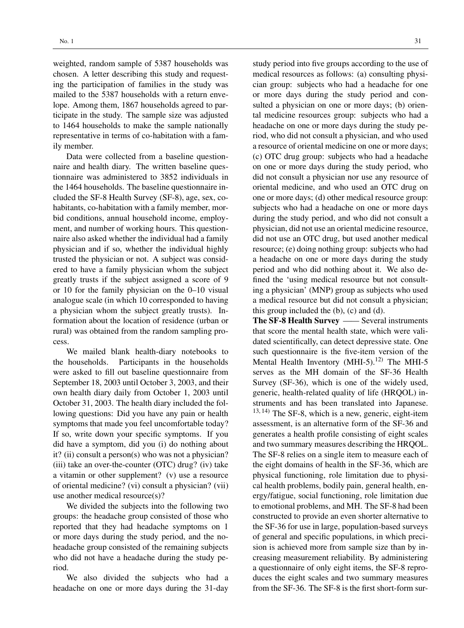weighted, random sample of 5387 households was chosen. A letter describing this study and requesting the participation of families in the study was mailed to the 5387 households with a return envelope. Among them, 1867 households agreed to participate in the study. The sample size was adjusted to 1464 households to make the sample nationally representative in terms of co-habitation with a family member.

Data were collected from a baseline questionnaire and health diary. The written baseline questionnaire was administered to 3852 individuals in the 1464 households. The baseline questionnaire included the SF-8 Health Survey (SF-8), age, sex, cohabitants, co-habitation with a family member, morbid conditions, annual household income, employment, and number of working hours. This questionnaire also asked whether the individual had a family physician and if so, whether the individual highly trusted the physician or not. A subject was considered to have a family physician whom the subject greatly trusts if the subject assigned a score of 9 or 10 for the family physician on the 0–10 visual analogue scale (in which 10 corresponded to having a physician whom the subject greatly trusts). Information about the location of residence (urban or rural) was obtained from the random sampling process.

We mailed blank health-diary notebooks to the households. Participants in the households were asked to fill out baseline questionnaire from September 18, 2003 until October 3, 2003, and their own health diary daily from October 1, 2003 until October 31, 2003. The health diary included the following questions: Did you have any pain or health symptoms that made you feel uncomfortable today? If so, write down your specific symptoms. If you did have a symptom, did you (i) do nothing about it? (ii) consult a person(s) who was not a physician? (iii) take an over-the-counter (OTC) drug? (iv) take a vitamin or other supplement? (v) use a resource of oriental medicine? (vi) consult a physician? (vii) use another medical resource(s)?

We divided the subjects into the following two groups: the headache group consisted of those who reported that they had headache symptoms on 1 or more days during the study period, and the noheadache group consisted of the remaining subjects who did not have a headache during the study period.

We also divided the subjects who had a headache on one or more days during the 31-day study period into five groups according to the use of medical resources as follows: (a) consulting physician group: subjects who had a headache for one or more days during the study period and consulted a physician on one or more days; (b) oriental medicine resources group: subjects who had a headache on one or more days during the study period, who did not consult a physician, and who used a resource of oriental medicine on one or more days; (c) OTC drug group: subjects who had a headache on one or more days during the study period, who did not consult a physician nor use any resource of oriental medicine, and who used an OTC drug on one or more days; (d) other medical resource group: subjects who had a headache on one or more days during the study period, and who did not consult a physician, did not use an oriental medicine resource, did not use an OTC drug, but used another medical resource; (e) doing nothing group: subjects who had a headache on one or more days during the study period and who did nothing about it. We also defined the 'using medical resource but not consulting a physician' (MNP) group as subjects who used a medical resource but did not consult a physician; this group included the (b), (c) and (d).

**The SF-8 Health Survey** —— Several instruments that score the mental health state, which were validated scientifically, can detect depressive state. One such questionnaire is the five-item version of the Mental Health Inventory (MHI-5).<sup>12)</sup> The MHI-5 serves as the MH domain of the SF-36 Health Survey (SF-36), which is one of the widely used, generic, health-related quality of life (HRQOL) instruments and has been translated into Japanese.  $13, 14$ ) The SF-8, which is a new, generic, eight-item assessment, is an alternative form of the SF-36 and generates a health profile consisting of eight scales and two summary measures describing the HRQOL. The SF-8 relies on a single item to measure each of the eight domains of health in the SF-36, which are physical functioning, role limitation due to physical health problems, bodily pain, general health, energy/fatigue, social functioning, role limitation due to emotional problems, and MH. The SF-8 had been constructed to provide an even shorter alternative to the SF-36 for use in large, population-based surveys of general and specific populations, in which precision is achieved more from sample size than by increasing measurement reliability. By administering a questionnaire of only eight items, the SF-8 reproduces the eight scales and two summary measures from the SF-36. The SF-8 is the first short-form sur-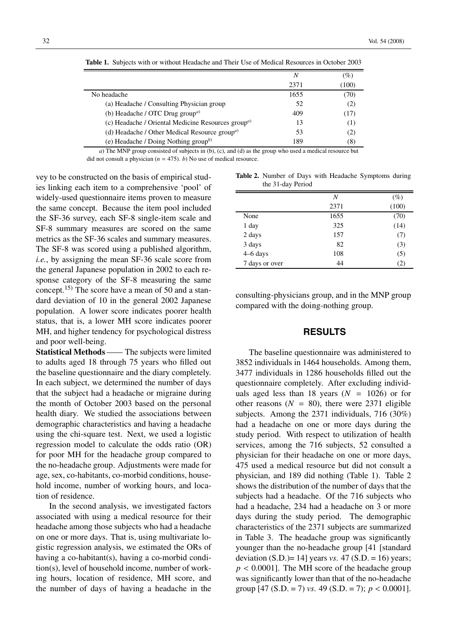|                                                                             | Ν    | $\left( \% \right)$ |
|-----------------------------------------------------------------------------|------|---------------------|
|                                                                             | 2371 | (100)               |
| No headache                                                                 | 1655 | (70)                |
| (a) Headache / Consulting Physician group                                   | 52   | (2)                 |
| (b) Headache / OTC Drug group <sup>a)</sup>                                 | 409  | (17)                |
| (c) Headache / Oriental Medicine Resources group <sup><math>a</math>)</sup> | 13   | (1)                 |
| (d) Headache / Other Medical Resource group <sup><math>a</math>)</sup>      | 53   | (2)                 |
| (e) Headache / Doing Nothing group $^{(b)}$                                 | 189  | (8)                 |

**Table 1.** Subjects with or without Headache and Their Use of Medical Resources in October 2003

*a*) The MNP group consisted of subjects in (b), (c), and (d) as the group who used a medical resource but did not consult a physician  $(n = 475)$ . *b*) No use of medical resource.

vey to be constructed on the basis of empirical studies linking each item to a comprehensive 'pool' of widely-used questionnaire items proven to measure the same concept. Because the item pool included the SF-36 survey, each SF-8 single-item scale and SF-8 summary measures are scored on the same metrics as the SF-36 scales and summary measures. The SF-8 was scored using a published algorithm, *i.e.*, by assigning the mean SF-36 scale score from the general Japanese population in 2002 to each response category of the SF-8 measuring the same concept.15) The score have a mean of 50 and a standard deviation of 10 in the general 2002 Japanese population. A lower score indicates poorer health status, that is, a lower MH score indicates poorer MH, and higher tendency for psychological distress and poor well-being.

**Statistical Methods** —— The subjects were limited to adults aged 18 through 75 years who filled out the baseline questionnaire and the diary completely. In each subject, we determined the number of days that the subject had a headache or migraine during the month of October 2003 based on the personal health diary. We studied the associations between demographic characteristics and having a headache using the chi-square test. Next, we used a logistic regression model to calculate the odds ratio (OR) for poor MH for the headache group compared to the no-headache group. Adjustments were made for age, sex, co-habitants, co-morbid conditions, household income, number of working hours, and location of residence.

In the second analysis, we investigated factors associated with using a medical resource for their headache among those subjects who had a headache on one or more days. That is, using multivariate logistic regression analysis, we estimated the ORs of having a co-habitant(s), having a co-morbid condition(s), level of household income, number of working hours, location of residence, MH score, and the number of days of having a headache in the

**Table 2.** Number of Days with Headache Symptoms during the 31-day Period

|                | Ν    | $(\%)$ |
|----------------|------|--------|
|                | 2371 | (100)  |
| None           | 1655 | (70)   |
| 1 day          | 325  | (14)   |
| 2 days         | 157  | (7)    |
| 3 days         | 82   | (3)    |
| $4-6$ days     | 108  | (5)    |
| 7 days or over | 44   | (2)    |

consulting-physicians group, and in the MNP group compared with the doing-nothing group.

# **RESULTS**

The baseline questionnaire was administered to 3852 individuals in 1464 households. Among them, 3477 individuals in 1286 households filled out the questionnaire completely. After excluding individuals aged less than 18 years  $(N = 1026)$  or for other reasons  $(N = 80)$ , there were 2371 eligible subjects. Among the 2371 individuals, 716 (30%) had a headache on one or more days during the study period. With respect to utilization of health services, among the 716 subjects, 52 consulted a physician for their headache on one or more days, 475 used a medical resource but did not consult a physician, and 189 did nothing (Table 1). Table 2 shows the distribution of the number of days that the subjects had a headache. Of the 716 subjects who had a headache, 234 had a headache on 3 or more days during the study period. The demographic characteristics of the 2371 subjects are summarized in Table 3. The headache group was significantly younger than the no-headache group [41 [standard deviation (S.D.)= 14] years *vs*. 47 (S.D. = 16) years;  $p < 0.0001$ ]. The MH score of the headache group was significantly lower than that of the no-headache group [47 (S.D. = 7) *vs*. 49 (S.D. = 7); *p* < 0.0001].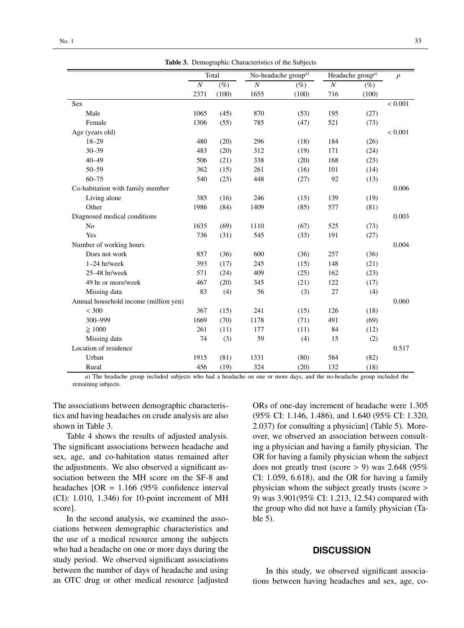|  |  | Table 3. Demographic Characteristics of the Subjects |  |  |  |
|--|--|------------------------------------------------------|--|--|--|
|--|--|------------------------------------------------------|--|--|--|

|                                       |                | Total  |                  | No-headache group <sup>a)</sup> |          | Headache group <sup>a)</sup> | $\boldsymbol{p}$ |
|---------------------------------------|----------------|--------|------------------|---------------------------------|----------|------------------------------|------------------|
|                                       | $\overline{N}$ | $(\%)$ | $\boldsymbol{N}$ | $(\%)$                          | $\cal N$ | $(\%)$                       |                  |
|                                       | 2371           | (100)  | 1655             | (100)                           | 716      | (100)                        |                  |
| <b>Sex</b>                            |                |        |                  |                                 |          |                              | < 0.001          |
| Male                                  | 1065           | (45)   | 870              | (53)                            | 195      | (27)                         |                  |
| Female                                | 1306           | (55)   | 785              | (47)                            | 521      | (73)                         |                  |
| Age (years old)                       |                |        |                  |                                 |          |                              | < 0.001          |
| $18 - 29$                             | 480            | (20)   | 296              | (18)                            | 184      | (26)                         |                  |
| $30 - 39$                             | 483            | (20)   | 312              | (19)                            | 171      | (24)                         |                  |
| $40 - 49$                             | 506            | (21)   | 338              | (20)                            | 168      | (23)                         |                  |
| $50 - 59$                             | 362            | (15)   | 261              | (16)                            | 101      | (14)                         |                  |
| $60 - 75$                             | 540            | (23)   | 448              | (27)                            | 92       | (13)                         |                  |
| Co-habitation with family member      |                |        |                  |                                 |          |                              | 0.006            |
| Living alone                          | 385            | (16)   | 246              | (15)                            | 139      | (19)                         |                  |
| Other                                 | 1986           | (84)   | 1409             | (85)                            | 577      | (81)                         |                  |
| Diagnosed medical conditions          |                |        |                  |                                 |          |                              | 0.003            |
| N <sub>0</sub>                        | 1635           | (69)   | 1110             | (67)                            | 525      | (73)                         |                  |
| Yes                                   | 736            | (31)   | 545              | (33)                            | 191      | (27)                         |                  |
| Number of working hours               |                |        |                  |                                 |          |                              | 0.004            |
| Does not work                         | 857            | (36)   | 600              | (36)                            | 257      | (36)                         |                  |
| $1-24$ hr/week                        | 393            | (17)   | 245              | (15)                            | 148      | (21)                         |                  |
| 25-48 hr/week                         | 571            | (24)   | 409              | (25)                            | 162      | (23)                         |                  |
| 49 hr or more/week                    | 467            | (20)   | 345              | (21)                            | 122      | (17)                         |                  |
| Missing data                          | 83             | (4)    | 56               | (3)                             | 27       | (4)                          |                  |
| Annual household income (million yen) |                |        |                  |                                 |          |                              | 0.060            |
| < 300                                 | 367            | (15)   | 241              | (15)                            | 126      | (18)                         |                  |
| 300-999                               | 1669           | (70)   | 1178             | (71)                            | 491      | (69)                         |                  |
| $\geq 1000$                           | 261            | (11)   | 177              | (11)                            | 84       | (12)                         |                  |
| Missing data                          | 74             | (3)    | 59               | (4)                             | 15       | (2)                          |                  |
| Location of residence                 |                |        |                  |                                 |          |                              | 0.517            |
| Urban                                 | 1915           | (81)   | 1331             | (80)                            | 584      | (82)                         |                  |
| Rural                                 | 456            | (19)   | 324              | (20)                            | 132      | (18)                         |                  |

*a*) The headache group included subjects who had a headache on one or more days, and the no-headache group included the remaining subjects.

The associations between demographic characteristics and having headaches on crude analysis are also shown in Table 3.

Table 4 shows the results of adjusted analysis. The significant associations between headache and sex, age, and co-habitation status remained after the adjustments. We also observed a significant association between the MH score on the SF-8 and headaches  $[OR = 1.166 (95\% \text{ confidence interval}]$ (CI): 1.010, 1.346) for 10-point increment of MH score].

In the second analysis, we examined the associations between demographic characteristics and the use of a medical resource among the subjects who had a headache on one or more days during the study period. We observed significant associations between the number of days of headache and using an OTC drug or other medical resource [adjusted ORs of one-day increment of headache were 1.305 (95% CI: 1.146, 1.486), and 1.640 (95% CI: 1.320, 2.037) for consulting a physician] (Table 5). Moreover, we observed an association between consulting a physician and having a family physician. The OR for having a family physician whom the subject does not greatly trust (score  $> 9$ ) was 2.648 (95%) CI: 1.059, 6.618), and the OR for having a family physician whom the subject greatly trusts (score > 9) was 3.901(95% CI: 1.213, 12.54) compared with the group who did not have a family physician (Table 5).

#### **DISCUSSION**

In this study, we observed significant associations between having headaches and sex, age, co-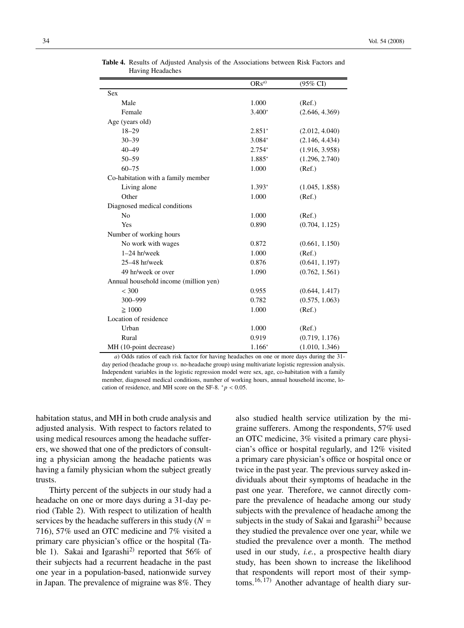|                                       | $ORS^{(a)}$ | $(95\% \text{ CI})$ |
|---------------------------------------|-------------|---------------------|
| <b>Sex</b>                            |             |                     |
| Male                                  | 1.000       | (Ref.)              |
| Female                                | $3.400*$    | (2.646, 4.369)      |
| Age (years old)                       |             |                     |
| $18 - 29$                             | $2.851*$    | (2.012, 4.040)      |
| $30 - 39$                             | 3.084*      | (2.146, 4.434)      |
| $40 - 49$                             | 2.754*      | (1.916, 3.958)      |
| $50 - 59$                             | 1.885*      | (1.296, 2.740)      |
| $60 - 75$                             | 1.000       | (Ref.)              |
| Co-habitation with a family member    |             |                     |
| Living alone                          | $1.393*$    | (1.045, 1.858)      |
| Other                                 | 1.000       | (Ref.)              |
| Diagnosed medical conditions          |             |                     |
| N <sub>o</sub>                        | 1.000       | (Ref.)              |
| Yes                                   | 0.890       | (0.704, 1.125)      |
| Number of working hours               |             |                     |
| No work with wages                    | 0.872       | (0.661, 1.150)      |
| $1-24$ hr/week                        | 1.000       | (Ref.)              |
| $25-48$ hr/week                       | 0.876       | (0.641, 1.197)      |
| 49 hr/week or over                    | 1.090       | (0.762, 1.561)      |
| Annual household income (million yen) |             |                     |
| < 300                                 | 0.955       | (0.644, 1.417)      |
| 300-999                               | 0.782       | (0.575, 1.063)      |
| $\geq 1000$                           | 1.000       | (Ref.)              |
| Location of residence                 |             |                     |
| Urban                                 | 1.000       | (Ref.)              |
| Rural                                 | 0.919       | (0.719, 1.176)      |
| MH (10-point decrease)                | $1.166*$    | (1.010, 1.346)      |

**Table 4.** Results of Adjusted Analysis of the Associations between Risk Factors and Having Headaches Ė

*a*) Odds ratios of each risk factor for having headaches on one or more days during the 31 day period (headache group *vs*. no-headache group) using multivariate logistic regression analysis. Independent variables in the logistic regression model were sex, age, co-habitation with a family member, diagnosed medical conditions, number of working hours, annual household income, location of residence, and MH score on the SF-8.  $p < 0.05$ .

habitation status, and MH in both crude analysis and adjusted analysis. With respect to factors related to using medical resources among the headache sufferers, we showed that one of the predictors of consulting a physician among the headache patients was having a family physician whom the subject greatly trusts.

Thirty percent of the subjects in our study had a headache on one or more days during a 31-day period (Table 2). With respect to utilization of health services by the headache sufferers in this study  $(N =$ 716), 57% used an OTC medicine and 7% visited a primary care physician's office or the hospital (Table 1). Sakai and Igarashi<sup>2)</sup> reported that 56% of their subjects had a recurrent headache in the past one year in a population-based, nationwide survey in Japan. The prevalence of migraine was 8%. They

also studied health service utilization by the migraine sufferers. Among the respondents, 57% used an OTC medicine, 3% visited a primary care physician's office or hospital regularly, and 12% visited a primary care physician's office or hospital once or twice in the past year. The previous survey asked individuals about their symptoms of headache in the past one year. Therefore, we cannot directly compare the prevalence of headache among our study subjects with the prevalence of headache among the subjects in the study of Sakai and Igarashi $^{2)}$  because they studied the prevalence over one year, while we studied the prevalence over a month. The method used in our study, *i.e.*, a prospective health diary study, has been shown to increase the likelihood that respondents will report most of their symptoms.16, 17) Another advantage of health diary sur-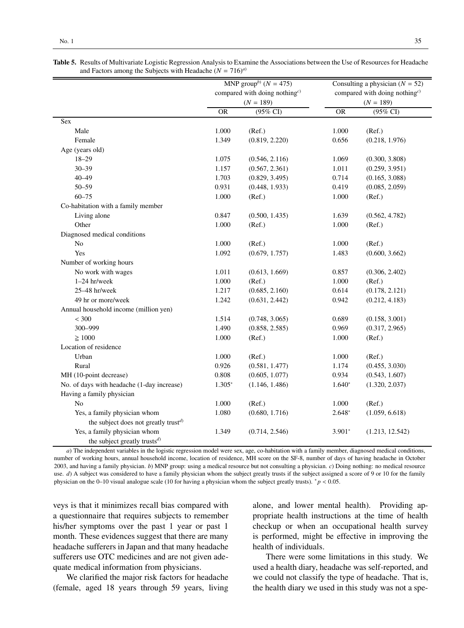|                                                                  | MNP group <sup>b)</sup> ( $N = 475$ )<br>compared with doing nothing <sup>c)</sup><br>$(N = 189)$ |                | Consulting a physician $(N = 52)$<br>compared with doing nothing <sup>c)</sup><br>$(N = 189)$ |                     |  |
|------------------------------------------------------------------|---------------------------------------------------------------------------------------------------|----------------|-----------------------------------------------------------------------------------------------|---------------------|--|
|                                                                  |                                                                                                   |                |                                                                                               |                     |  |
|                                                                  | <b>OR</b>                                                                                         | (95% CI)       | $\overline{OR}$                                                                               | $(95\% \text{ CI})$ |  |
| Sex                                                              |                                                                                                   |                |                                                                                               |                     |  |
| Male                                                             | 1.000                                                                                             | (Ref.)         | 1.000                                                                                         | (Ref.)              |  |
| Female                                                           | 1.349                                                                                             | (0.819, 2.220) | 0.656                                                                                         | (0.218, 1.976)      |  |
| Age (years old)                                                  |                                                                                                   |                |                                                                                               |                     |  |
| $18 - 29$                                                        | 1.075                                                                                             | (0.546, 2.116) | 1.069                                                                                         | (0.300, 3.808)      |  |
| $30 - 39$                                                        | 1.157                                                                                             | (0.567, 2.361) | 1.011                                                                                         | (0.259, 3.951)      |  |
| $40 - 49$                                                        | 1.703                                                                                             | (0.829, 3.495) | 0.714                                                                                         | (0.165, 3.088)      |  |
| $50 - 59$                                                        | 0.931                                                                                             | (0.448, 1.933) | 0.419                                                                                         | (0.085, 2.059)      |  |
| $60 - 75$                                                        | 1.000                                                                                             | (Ref.)         | 1.000                                                                                         | (Ref.)              |  |
| Co-habitation with a family member                               |                                                                                                   |                |                                                                                               |                     |  |
| Living alone                                                     | 0.847                                                                                             | (0.500, 1.435) | 1.639                                                                                         | (0.562, 4.782)      |  |
| Other                                                            | 1.000                                                                                             | (Ref.)         | 1.000                                                                                         | (Ref.)              |  |
| Diagnosed medical conditions                                     |                                                                                                   |                |                                                                                               |                     |  |
| No                                                               | 1.000                                                                                             | (Ref.)         | 1.000                                                                                         | (Ref.)              |  |
| Yes                                                              | 1.092                                                                                             | (0.679, 1.757) | 1.483                                                                                         | (0.600, 3.662)      |  |
| Number of working hours                                          |                                                                                                   |                |                                                                                               |                     |  |
| No work with wages                                               | 1.011                                                                                             | (0.613, 1.669) | 0.857                                                                                         | (0.306, 2.402)      |  |
| $1-24$ hr/week                                                   | 1.000                                                                                             | (Ref.)         | 1.000                                                                                         | (Ref.)              |  |
| 25-48 hr/week                                                    | 1.217                                                                                             | (0.685, 2.160) | 0.614                                                                                         | (0.178, 2.121)      |  |
| 49 hr or more/week                                               | 1.242                                                                                             | (0.631, 2.442) | 0.942                                                                                         | (0.212, 4.183)      |  |
| Annual household income (million yen)                            |                                                                                                   |                |                                                                                               |                     |  |
| < 300                                                            | 1.514                                                                                             | (0.748, 3.065) | 0.689                                                                                         | (0.158, 3.001)      |  |
| 300-999                                                          | 1.490                                                                                             | (0.858, 2.585) | 0.969                                                                                         | (0.317, 2.965)      |  |
| $\geq 1000$                                                      | 1.000                                                                                             | (Ref.)         | 1.000                                                                                         | (Ref.)              |  |
| Location of residence                                            |                                                                                                   |                |                                                                                               |                     |  |
| Urban                                                            | 1.000                                                                                             | (Ref.)         | 1.000                                                                                         | (Ref.)              |  |
| Rural                                                            | 0.926                                                                                             | (0.581, 1.477) | 1.174                                                                                         | (0.455, 3.030)      |  |
| MH (10-point decrease)                                           | 0.808                                                                                             | (0.605, 1.077) | 0.934                                                                                         | (0.543, 1.607)      |  |
| No. of days with headache (1-day increase)                       | $1.305*$                                                                                          | (1.146, 1.486) | $1.640*$                                                                                      | (1.320, 2.037)      |  |
| Having a family physician                                        |                                                                                                   |                |                                                                                               |                     |  |
| N <sub>o</sub>                                                   | 1.000                                                                                             | (Ref.)         | 1.000                                                                                         | (Ref.)              |  |
| Yes, a family physician whom                                     | 1.080                                                                                             | (0.680, 1.716) | $2.648*$                                                                                      | (1.059, 6.618)      |  |
| the subject does not greatly trust <sup>d)</sup>                 |                                                                                                   |                |                                                                                               |                     |  |
| Yes, a family physician whom<br>the subject greatly trusts $d$ ) | 1.349                                                                                             | (0.714, 2.546) | $3.901*$                                                                                      | (1.213, 12.542)     |  |

**Table 5.** Results of Multivariate Logistic Regression Analysis to Examine the Associations between the Use of Resources for Headache and Factors among the Subjects with Headache ( $N = 716$ )<sup>*a*)</sup>

*a*) The independent variables in the logistic regression model were sex, age, co-habitation with a family member, diagnosed medical conditions, number of working hours, annual household income, location of residence, MH score on the SF-8, number of days of having headache in October 2003, and having a family physician. *b*) MNP group: using a medical resource but not consulting a physician. *c*) Doing nothing: no medical resource use. *d*) A subject was considered to have a family physician whom the subject greatly trusts if the subject assigned a score of 9 or 10 for the family physician on the 0–10 visual analogue scale (10 for having a physician whom the subject greatly trusts). *\*p* < 0.05.

veys is that it minimizes recall bias compared with a questionnaire that requires subjects to remember his/her symptoms over the past 1 year or past 1 month. These evidences suggest that there are many headache sufferers in Japan and that many headache sufferers use OTC medicines and are not given adequate medical information from physicians.

We clarified the major risk factors for headache (female, aged 18 years through 59 years, living alone, and lower mental health). Providing appropriate health instructions at the time of health checkup or when an occupational health survey is performed, might be effective in improving the health of individuals.

There were some limitations in this study. We used a health diary, headache was self-reported, and we could not classify the type of headache. That is, the health diary we used in this study was not a spe